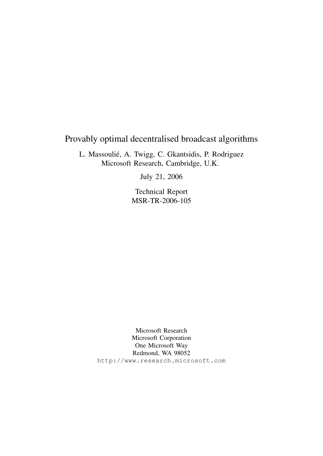# Provably optimal decentralised broadcast algorithms

L. Massoulié, A. Twigg, C. Gkantsidis, P. Rodriguez Microsoft Research, Cambridge, U.K.

July 21, 2006

Technical Report MSR-TR-2006-105

Microsoft Research Microsoft Corporation One Microsoft Way Redmond, WA 98052 http://www.research.microsoft.com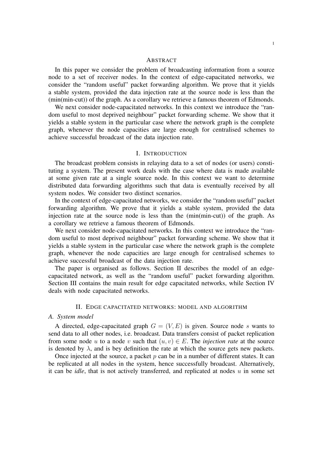#### **ABSTRACT**

In this paper we consider the problem of broadcasting information from a source node to a set of receiver nodes. In the context of edge-capacitated networks, we consider the "random useful" packet forwarding algorithm. We prove that it yields a stable system, provided the data injection rate at the source node is less than the (min(min-cut)) of the graph. As a corollary we retrieve a famous theorem of Edmonds.

We next consider node-capacitated networks. In this context we introduce the "random useful to most deprived neighbour" packet forwarding scheme. We show that it yields a stable system in the particular case where the network graph is the complete graph, whenever the node capacities are large enough for centralised schemes to achieve successful broadcast of the data injection rate.

## I. INTRODUCTION

The broadcast problem consists in relaying data to a set of nodes (or users) constituting a system. The present work deals with the case where data is made available at some given rate at a single source node. In this context we want to determine distributed data forwarding algorithms such that data is eventually received by all system nodes. We consider two distinct scenarios.

In the context of edge-capacitated networks, we consider the "random useful" packet forwarding algorithm. We prove that it yields a stable system, provided the data injection rate at the source node is less than the (min(min-cut)) of the graph. As a corollary we retrieve a famous theorem of Edmonds.

We next consider node-capacitated networks. In this context we introduce the "random useful to most deprived neighbour" packet forwarding scheme. We show that it yields a stable system in the particular case where the network graph is the complete graph, whenever the node capacities are large enough for centralised schemes to achieve successful broadcast of the data injection rate.

The paper is organised as follows. Section II describes the model of an edgecapacitated network, as well as the "random useful" packet forwarding algorithm. Section III contains the main result for edge capacitated networks, while Section IV deals with node capacitated networks.

#### II. EDGE CAPACITATED NETWORKS: MODEL AND ALGORITHM

## *A. System model*

A directed, edge-capacitated graph  $G = (V, E)$  is given. Source node s wants to send data to all other nodes, i.e. broadcast. Data transfers consist of packet replication from some node u to a node v such that  $(u, v) \in E$ . The *injection rate* at the source is denoted by  $\lambda$ , and is bey definition the rate at which the source gets new packets.

Once injected at the source, a packet  $p$  can be in a number of different states. It can be replicated at all nodes in the system, hence successfully broadcast. Alternatively, it can be *idle*, that is not actively transferred, and replicated at nodes u in some set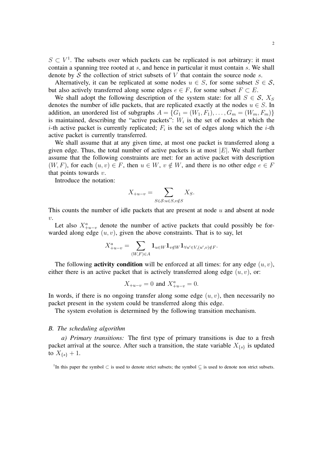$S \subset V<sup>1</sup>$ . The subsets over which packets can be replicated is not arbitrary: it must contain a spanning tree rooted at s, and hence in particular it must contain s. We shall denote by  $S$  the collection of strict subsets of  $V$  that contain the source node  $s$ .

Alternatively, it can be replicated at some nodes  $u \in S$ , for some subset  $S \in S$ , but also actively transferred along some edges  $e \in F$ , for some subset  $F \subset E$ .

We shall adopt the following description of the system state: for all  $S \in \mathcal{S}$ ,  $X_S$ denotes the number of idle packets, that are replicated exactly at the nodes  $u \in S$ . In addition, an unordered list of subgraphs  $A = \{G_1 = (W_1, F_1), \ldots, G_m = (W_m, F_m)\}\$ is maintained, describing the "active packets":  $W_i$  is the set of nodes at which the *i*-th active packet is currently replicated;  $F_i$  is the set of edges along which the *i*-th active packet is currently transferred.

We shall assume that at any given time, at most one packet is transferred along a given edge. Thus, the total number of active packets is at most  $|E|$ . We shall further assume that the following constraints are met: for an active packet with description  $(W, F)$ , for each  $(u, v) \in F$ , then  $u \in W$ ,  $v \notin W$ , and there is no other edge  $e \in F$ that points towards  $v$ .

Introduce the notation:

$$
X_{+u-v} = \sum_{S \in \mathcal{S}: u \in S, v \notin S} X_S.
$$

This counts the number of idle packets that are present at node  $u$  and absent at node  $\upsilon$ .

Let also  $X_{+u-v}^a$  denote the number of active packets that could possibly be forwarded along edge  $(u, v)$ , given the above constraints. That is to say, let

$$
X^a_{+u-v} = \sum_{(W,F)\in A} \mathbf{1}_{u\in W} \mathbf{1}_{v\notin W} \mathbf{1}_{\forall u'\in V, (u',v)\notin F}.
$$

The following **activity condition** will be enforced at all times: for any edge  $(u, v)$ , either there is an active packet that is actively transferred along edge  $(u, v)$ , or:

$$
X_{+u-v} = 0
$$
 and  $X_{+u-v}^a = 0$ .

In words, if there is no ongoing transfer along some edge  $(u, v)$ , then necessarily no packet present in the system could be transferred along this edge.

The system evolution is determined by the following transition mechanism.

# *B. The scheduling algorithm*

*a) Primary transitions:* The first type of primary transitions is due to a fresh packet arrival at the source. After such a transition, the state variable  $X_{\{s\}}$  is updated to  $X_{\{s\}} + 1$ .

<sup>1</sup>In this paper the symbol  $\subset$  is used to denote strict subsets; the symbol  $\subseteq$  is used to denote non strict subsets.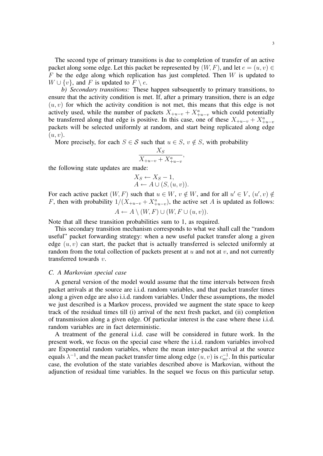The second type of primary transitions is due to completion of transfer of an active packet along some edge. Let this packet be represented by  $(W, F)$ , and let  $e = (u, v) \in$  $F$  be the edge along which replication has just completed. Then  $W$  is updated to  $W \cup \{v\}$ , and F is updated to  $F \setminus e$ .

*b) Secondary transitions:* These happen subsequently to primary transitions, to ensure that the activity condition is met. If, after a primary transition, there is an edge  $(u, v)$  for which the activity condition is not met, this means that this edge is not actively used, while the number of packets  $X_{+u-v} + X_{+u-v}^a$  which could potentially be transferred along that edge is positive. In this case, one of these  $X_{+u-v} + X_{+u-v}^a$ packets will be selected uniformly at random, and start being replicated along edge  $(u, v)$ .

More precisely, for each  $S \in \mathcal{S}$  such that  $u \in S$ ,  $v \notin S$ , with probability

$$
\frac{X_S}{X_{+u-v} + X_{+u-v}^a},\,
$$

the following state updates are made:

$$
X_S \leftarrow X_S - 1,
$$
  

$$
A \leftarrow A \cup (S, (u, v)).
$$

For each active packet  $(W, F)$  such that  $u \in W$ ,  $v \notin W$ , and for all  $u' \in V$ ,  $(u', v) \notin W$ F, then with probability  $1/(X_{+u-v} + X_{+u-v}^a)$ , the active set A is updated as follows:  $A \leftarrow A \setminus (W, F) \cup (W, F \cup (u, v)).$ 

Note that all these transition probabilities sum to 1, as required.

This secondary transition mechanism corresponds to what we shall call the "random useful" packet forwarding strategy: when a new useful packet transfer along a given edge  $(u, v)$  can start, the packet that is actually transferred is selected uniformly at random from the total collection of packets present at  $u$  and not at  $v$ , and not currently transferred towards v.

#### *C. A Markovian special case*

A general version of the model would assume that the time intervals between fresh packet arrivals at the source are i.i.d. random variables, and that packet transfer times along a given edge are also i.i.d. random variables. Under these assumptions, the model we just described is a Markov process, provided we augment the state space to keep track of the residual times till (i) arrival of the next fresh packet, and (ii) completion of transmission along a given edge. Of particular interest is the case where these i.i.d. random variables are in fact deterministic.

A treatment of the general i.i.d. case will be considered in future work. In the present work, we focus on the special case where the i.i.d. random variables involved are Exponential random variables, where the mean inter-packet arrival at the source equals  $\lambda^{-1}$ , and the mean packet transfer time along edge  $(u, v)$  is  $c_{uv}^{-1}$ . In this particular case, the evolution of the state variables described above is Markovian, without the adjunction of residual time variables. In the sequel we focus on this particular setup.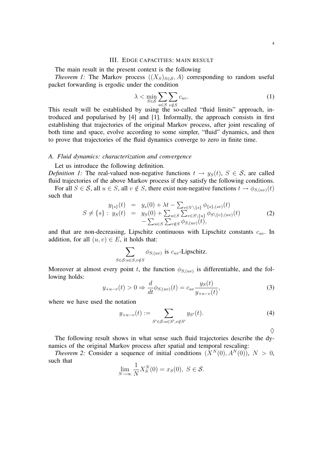#### III. EDGE CAPACITIES: MAIN RESULT

The main result in the present context is the following

*Theorem 1:* The Markov process  $((X_S)_{S \in S}, A)$  corresponding to random useful packet forwarding is ergodic under the condition

$$
\lambda < \min_{S \in \mathcal{S}} \sum_{u \in S} \sum_{v \notin S} c_{uv}.\tag{1}
$$

This result will be established by using the so-called "fluid limits" approach, introduced and popularised by [4] and [1]. Informally, the approach consists in first establishing that trajectories of the original Markov process, after joint rescaling of both time and space, evolve according to some simpler, "fluid" dynamics, and then to prove that trajectories of the fluid dynamics converge to zero in finite time.

#### *A. Fluid dynamics: characterization and convergence*

Let us introduce the following definition.

*Definition 1:* The real-valued non-negative functions  $t \rightarrow y_S(t)$ ,  $S \in S$ , are called fluid trajectories of the above Markov process if they satisfy the following conditions.

For all  $S \in \mathcal{S}$ , all  $u \in S$ , all  $v \notin S$ , there exist non-negative functions  $t \to \phi_{S(uv)}(t)$ such that

$$
y_{\{s\}}(t) = y_s(0) + \lambda t - \sum_{v \in V \setminus \{s\}} \phi_{\{s\},(sv)}(t) S \neq \{s\} : y_S(t) = y_S(0) + \sum_{u \in S} \sum_{v \in S \setminus \{u\}} \phi_{S \setminus \{v\},(uv)}(t) - \sum_{u \in S} \sum_{v \notin S} \phi_{S,(uv)}(t),
$$
 (2)

and that are non-decreasing, Lipschitz continuous with Lipschitz constants  $c_{uv}$ . In addition, for all  $(u, v) \in E$ , it holds that:

$$
\sum_{S \in \mathcal{S}: u \in S, v \notin S} \phi_{S,(uv)} \text{ is } c_{uv} \text{-Lipschitz.}
$$

Moreover at almost every point t, the function  $\phi_{S,(uv)}$  is differentiable, and the following holds:

$$
y_{+u-v}(t) > 0 \Rightarrow \frac{d}{dt}\phi_{S(uv)}(t) = c_{uv}\frac{y_S(t)}{y_{+u-v}(t)},
$$
\n(3)

where we have used the notation

$$
y_{+u-v}(t) := \sum_{S' \in \mathcal{S}: u \in S', v \notin S'} y_{S'}(t). \tag{4}
$$

 $\Diamond$ 

The following result shows in what sense such fluid trajectories describe the dynamics of the original Markov process after spatial and temporal rescaling:

*Theorem 2:* Consider a sequence of initial conditions  $(X^N(0), A^N(0)), N > 0$ , such that

$$
\lim_{N \to \infty} \frac{1}{N} X_S^N(0) = x_S(0), \ S \in \mathcal{S}.
$$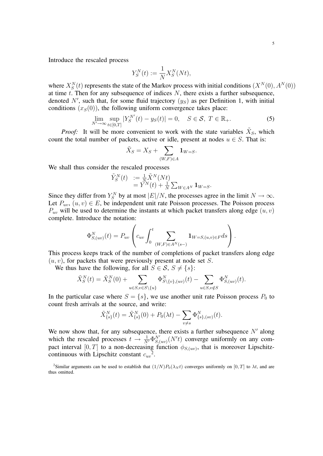Introduce the rescaled process

$$
Y_S^N(t) := \frac{1}{N} X_S^N(Nt),
$$

where  $X_S^N(t)$  represents the state of the Markov process with initial conditions  $(X^N(0), A^N(0))$ at time  $t$ . Then for any subsequence of indices  $N$ , there exists a further subsequence, denoted N', such that, for some fluid trajectory  $(y_S)$  as per Definition 1, with initial conditions  $(x<sub>S</sub>(0))$ , the following uniform convergence takes place:

$$
\lim_{N' \to \infty} \sup_{t \in [0,T]} |Y_S^{N'}(t) - y_S(t)| = 0, \quad S \in \mathcal{S}, \ T \in \mathbb{R}_+.
$$
 (5)

*Proof:* It will be more convenient to work with the state variables  $\tilde{X}_S$ , which count the total number of packets, active or idle, present at nodes  $u \in S$ . That is:

$$
\tilde{X}_S = X_S + \sum_{(W,F)\in A} \mathbf{1}_{W=S}.
$$

We shall thus consider the rescaled processes

$$
\begin{array}{ll} \tilde{Y}_S^N(t) &:= \frac{1}{N} \tilde{X}^N(Nt) \\ & = Y^N(t) + \frac{1}{N} \sum_{W \in A^N} \mathbf{1}_{W = S}. \end{array}
$$

Since they differ from  $Y_s^N$  by at most  $|E|/N$ , the processes agree in the limit  $N \to \infty$ . Let  $P_{uv}$ ,  $(u, v) \in E$ , be independent unit rate Poisson processes. The Poisson process  $P_{uv}$  will be used to determine the instants at which packet transfers along edge  $(u, v)$ complete. Introduce the notation:

$$
\Phi_{S,(uv)}^N(t) = P_{uv} \left( c_{uv} \int_0^t \sum_{(W,F) \in A^N(s-)} \mathbf{1}_{W=S,(u,v) \in F} ds \right).
$$

This process keeps track of the number of completions of packet transfers along edge  $(u, v)$ , for packets that were previously present at node set S.

We thus have the following, for all  $S \in \mathcal{S}, S \neq \{s\}$ :

$$
\tilde{X}_S^N(t) = \tilde{X}_S^N(0) + \sum_{u \in S, v \in S \setminus \{u\}} \Phi_{S \setminus \{v\}, (uv)}^N(t) - \sum_{u \in S, v \notin S} \Phi_{S, (uv)}^N(t).
$$

In the particular case where  $S = \{s\}$ , we use another unit rate Poisson process  $P_0$  to count fresh arrivals at the source, and write:

$$
\tilde{X}_{\{s\}}^N(t) = \tilde{X}_{\{s\}}^N(0) + P_0(\lambda t) - \sum_{v \neq s} \Phi_{\{s\},(sv)}^N(t).
$$

We now show that, for any subsequence, there exists a further subsequence  $N'$  along which the rescaled processes  $t \to \frac{1}{N'} \Phi_{S,(uv)}^{N'}(N' t)$  converge uniformly on any compact interval  $[0, T]$  to a non-decreasing function  $\phi_{S,(uv)}$ , that is moreover Lipschitzcontinuous with Lipschitz constant  $c_{uv}^2$ .

<sup>&</sup>lt;sup>2</sup>Similar arguments can be used to establish that  $(1/N)P_0(\lambda_N t)$  converges uniformly on  $[0, T]$  to  $\lambda t$ , and are thus omitted.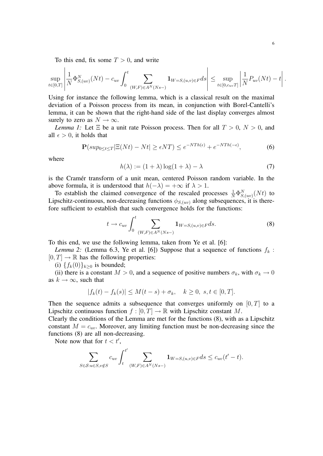To this end, fix some  $T > 0$ , and write

$$
\sup_{t \in [0,T]} \left| \frac{1}{N} \Phi_{S,(uv)}^N(Nt) - c_{uv} \int_0^t \sum_{(W,F) \in A^N(Ns-)} \mathbf{1}_{W=S,(u,v) \in F} ds \right| \leq \sup_{t \in [0,c_{uv}T]} \left| \frac{1}{N} P_{uv}(Nt) - t \right|.
$$

Using for instance the following lemma, which is a classical result on the maximal deviation of a Poisson process from its mean, in conjunction with Borel-Cantelli's lemma, it can be shown that the right-hand side of the last display converges almost surely to zero as  $N \to \infty$ .

*Lemma 1:* Let  $\Xi$  be a unit rate Poisson process. Then for all  $T > 0$ ,  $N > 0$ , and all  $\epsilon > 0$ , it holds that

$$
\mathbf{P}(sup_{0 \le t \le T} |\Xi(Nt) - Nt| \ge \epsilon NT) \le e^{-NTh(\epsilon)} + e^{-NTh(-\epsilon)},\tag{6}
$$

where

$$
h(\lambda) := (1 + \lambda) \log(1 + \lambda) - \lambda \tag{7}
$$

is the Cramér transform of a unit mean, centered Poisson random variable. In the above formula, it is understood that  $h(-\lambda) = +\infty$  if  $\lambda > 1$ .

To establish the claimed convergence of the rescaled processes  $\frac{1}{N} \Phi_{S,(uv)}^{N}(Nt)$  to Lipschitz-continuous, non-decreasing functions  $\phi_{S,(uv)}$  along subsequences, it is therefore sufficient to establish that such convergence holds for the functions:

$$
t \to c_{uv} \int_0^t \sum_{(W,F) \in A^N(Ns-)} \mathbf{1}_{W=S,(u,v)\in F} ds.
$$
 (8)

To this end, we use the following lemma, taken from Ye et al. [6]:

*Lemma 2:* (Lemma 6.3, Ye et al. [6]) Suppose that a sequence of functions  $f_k$ :  $[0, T] \rightarrow \mathbb{R}$  has the following properties:

(i)  $\{f_k(0)\}_{k>0}$  is bounded;

(ii) there is a constant  $M > 0$ , and a sequence of positive numbers  $\sigma_k$ , with  $\sigma_k \to 0$ as  $k \to \infty$ , such that

$$
|f_k(t) - f_k(s)| \le M(t - s) + \sigma_k, \quad k \ge 0, \ s, t \in [0, T].
$$

Then the sequence admits a subsequence that converges uniformly on  $[0, T]$  to a Lipschitz continuous function  $f : [0, T] \to \mathbb{R}$  with Lipschitz constant M.

Clearly the conditions of the Lemma are met for the functions (8), with as a Lipschitz constant  $M = c_{uv}$ . Moreover, any limiting function must be non-decreasing since the functions (8) are all non-decreasing.

Note now that for  $t < t'$ ,

$$
\sum_{S \in \mathcal{S}: u \in S, v \notin S} c_{uv} \int_t^{t'} \sum_{(W,F) \in A^N(Ns-)} \mathbf{1}_{W=S,(u,v) \in F} ds \le c_{uv}(t'-t).
$$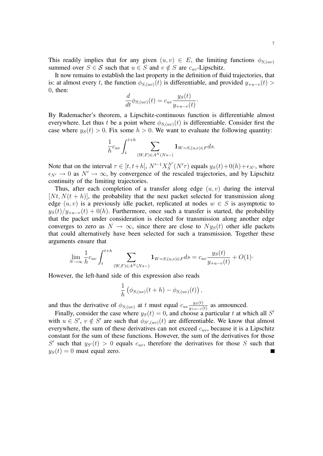This readily implies that for any given  $(u, v) \in E$ , the limiting functions  $\phi_{S,(uv)}$ summed over  $S \in \mathcal{S}$  such that  $u \in S$  and  $v \notin S$  are  $c_{uv}$ -Lipschitz.

It now remains to establish the last property in the definition of fluid trajectories, that is: at almost every t, the function  $\phi_{S,(uv)}(t)$  is differentiable, and provided  $y_{+u-v}(t)$ 0, then:

$$
\frac{d}{dt}\phi_{S,(uv)}(t) = c_{uv}\frac{y_S(t)}{y_{+u-v}(t)}.
$$

By Rademacher's theorem, a Lipschitz-continuous function is differentiable almost everywhere. Let thus t be a point where  $\phi_{S,(uv)}(t)$  is differentiable. Consider first the case where  $y_S(t) > 0$ . Fix some  $h > 0$ . We want to evaluate the following quantity:

$$
\frac{1}{h}c_{uv}\int_t^{t+h}\sum_{(W,F)\in A^N(Ns-)}\mathbf{1}_{W=S,(u,v)\in F}ds.
$$

Note that on the interval  $\tau \in [t, t+h]$ ,  $N'^{-1}X_S^{N'}(N'\tau)$  equals  $y_S(t)+0(h)+\epsilon_{N'}$ , where  $\epsilon_{N'} \rightarrow 0$  as  $N' \rightarrow \infty$ , by convergence of the rescaled trajectories, and by Lipschitz continuity of the limiting trajectories.

Thus, after each completion of a transfer along edge  $(u, v)$  during the interval  $[Nt, N(t+h)]$ , the probability that the next packet selected for transmission along edge  $(u, v)$  is a previously idle packet, replicated at nodes  $w \in S$  is asymptotic to  $y_S(t)/y_{+u-v}(t) + o(h)$ . Furthermore, once such a transfer is started, the probability that the packet under consideration is elected for transmission along another edge converges to zero as  $N \to \infty$ , since there are close to  $N_{\mathcal{Y}_S}(t)$  other idle packets that could alternatively have been selected for such a transmission. Together these arguments ensure that

$$
\lim_{N \to \infty} \frac{1}{h} c_{uv} \int_{t}^{t+h} \sum_{(W,F) \in A^N(Ns-)} \mathbf{1}_{W=S,(u,v) \in F} ds = c_{uv} \frac{y_S(t)}{y_{+u-v}(t)} + O(1).
$$

However, the left-hand side of this expression also reads

$$
\frac{1}{h}\left(\phi_{S,(uv)}(t+h)-\phi_{S,(uv)}(t)\right),\,
$$

and thus the derivative of  $\phi_{S,(uv)}$  at t must equal  $c_{uv}\frac{y_S(t)}{y_{(u,v)}(t)}$  $\frac{y_S(t)}{y_{+u-v}(t)}$  as announced.

Finally, consider the case where  $y_S(t) = 0$ , and choose a particular t at which all S' with  $u \in S'$ ,  $v \notin S'$  are such that  $\phi_{S',(uv)}(t)$  are differentiable. We know that almost everywhere, the sum of these derivatives can not exceed  $c_{uv}$ , because it is a Lipschitz constant for the sum of these functions. However, the sum of the derivatives for those S' such that  $y_{S'}(t) > 0$  equals  $c_{uv}$ , therefore the derivatives for those S such that  $y_S(t) = 0$  must equal zero. П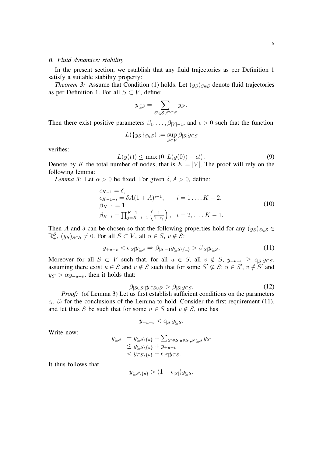#### *B. Fluid dynamics: stability*

In the present section, we establish that any fluid trajectories as per Definition 1 satisfy a suitable stability property:

*Theorem 3:* Assume that Condition (1) holds. Let  $(y_S)_{S \in \mathcal{S}}$  denote fluid trajectories as per Definition 1. For all  $S \subset V$ , define:

$$
y_{\subseteq S} = \sum_{S' \in \mathcal{S}, S' \subseteq S} y_{S'}.
$$

Then there exist positive parameters  $\beta_1, \ldots, \beta_{|V|-1}$ , and  $\epsilon > 0$  such that the function

$$
L({y_S}_{S \in S}) := \sup_{S \subset V} \beta_{|S|} y_{\subseteq S}
$$

verifies:

$$
L(y(t)) \le \max(0, L(y(0)) - \epsilon t). \tag{9}
$$

Denote by K the total number of nodes, that is  $K = |V|$ . The proof will rely on the following lemma:

*Lemma 3:* Let  $\alpha > 0$  be fixed. For given  $\delta, A > 0$ , define:

$$
\epsilon_{K-1} = \delta;
$$
  
\n
$$
\epsilon_{K-1-i} = \delta A (1 + A)^{i-1}, \qquad i = 1 \dots, K-2,
$$
  
\n
$$
\beta_{K-1} = 1;
$$
  
\n
$$
\beta_{K-i} = \prod_{j=K-i+1}^{K-1} \left( \frac{1}{1 - \epsilon_j} \right), \quad i = 2, \dots, K-1.
$$
\n(10)

Then A and  $\delta$  can be chosen so that the following properties hold for any  $(y_S)_{S \in \mathcal{S}} \in$  $\mathbb{R}^{\mathcal{S}}_+$ ,  $(y_S)_{S \in \mathcal{S}} \neq 0$ . For all  $S \subset V$ , all  $u \in S$ ,  $v \notin S$ :

$$
y_{+u-v} < \epsilon_{|S|} y_{\subseteq S} \Rightarrow \beta_{|S|-1} y_{\subseteq S\setminus\{u\}} > \beta_{|S|} y_{\subseteq S}.\tag{11}
$$

Moreover for all  $S \subset V$  such that, for all  $u \in S$ , all  $v \notin S$ ,  $y_{+u-v} \ge \epsilon_{|S|}y_{\subseteq S}$ , assuming there exist  $u \in S$  and  $v \notin S$  such that for some  $S' \nsubseteq S: u \in S'$ ,  $v \notin S'$  and  $y_{S'} > \alpha y_{+u-v}$ , then it holds that:

$$
\beta_{|S \cup S'|} y_{\subseteq S \cup S'} > \beta_{|S|} y_{\subseteq S}.\tag{12}
$$

*Proof:* (of Lemma 3) Let us first establish sufficient conditions on the parameters  $\epsilon_i$ ,  $\beta_i$  for the conclusions of the Lemma to hold. Consider the first requirement (11), and let thus S be such that for some  $u \in S$  and  $v \notin S$ , one has

$$
y_{+u-v} < \epsilon_{|S|} y_{\subseteq S}.
$$

Write now:

$$
y_{\subseteq S} = y_{\subseteq S\setminus\{u\}} + \sum_{S' \in S: u \in S', S' \subseteq S} y_{S'}\leq y_{\subseteq S\setminus\{u\}} + y_{+u-v}< y_{\subseteq S\setminus\{u\}} + \epsilon_{|S|} y_{\subseteq S}.
$$

It thus follows that

$$
y_{\subseteq S\backslash\{u\}}>(1-\epsilon_{|S|})y_{\subseteq S}
$$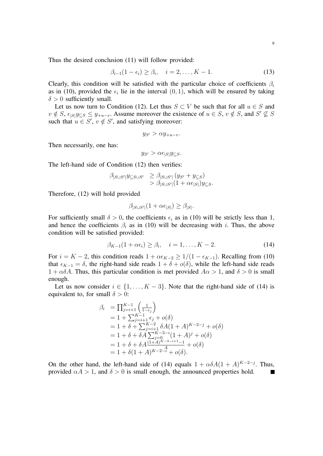Thus the desired conclusion (11) will follow provided:

$$
\beta_{i-1}(1-\epsilon_i) \ge \beta_i, \quad i=2,\ldots,K-1. \tag{13}
$$

Clearly, this condition will be satisfied with the particular choice of coefficients  $\beta_i$ as in (10), provided the  $\epsilon_i$  lie in the interval  $(0, 1)$ , which will be ensured by taking  $\delta > 0$  sufficiently small.

Let us now turn to Condition (12). Let thus  $S \subset V$  be such that for all  $u \in S$  and  $v \notin S$ ,  $\epsilon_{|S|}y_{\subseteq S} \leq y_{+u-v}$ . Assume moreover the existence of  $u \in S$ ,  $v \notin S$ , and  $S' \nsubseteq S$ such that  $u \in S'$ ,  $v \notin S'$ , and satisfying moreover:

$$
y_{S'} > \alpha y_{+u-v}.
$$

Then necessarily, one has:

$$
y_{S'} > \alpha \epsilon_{|S|} y_{\subseteq S}.
$$

The left-hand side of Condition (12) then verifies:

$$
\beta_{|S \cup S'|} y_{\subseteq S \cup S'} \geq \beta_{|S \cup S'|} (y_{S'} + y_{\subseteq S})
$$
  
> 
$$
\beta_{|S \cup S'|} (1 + \alpha \epsilon_{|S|}) y_{\subseteq S}.
$$

Therefore, (12) will hold provided

$$
\beta_{|S\cup S'|}(1+\alpha\epsilon_{|S|}) \ge \beta_{|S|}.
$$

For sufficiently small  $\delta > 0$ , the coefficients  $\epsilon_i$  as in (10) will be strictly less than 1, and hence the coefficients  $\beta_i$  as in (10) will be decreasing with i. Thus, the above condition will be satisfied provided:

$$
\beta_{K-1}(1+\alpha\epsilon_i) \ge \beta_i, \quad i=1,\ldots,K-2. \tag{14}
$$

For  $i = K - 2$ , this condition reads  $1 + \alpha \epsilon_{K-2} \ge 1/(1 - \epsilon_{K-1})$ . Recalling from (10) that  $\epsilon_{K-1} = \delta$ , the right-hand side reads  $1 + \delta + o(\delta)$ , while the left-hand side reads  $1 + \alpha \delta A$ . Thus, this particular condition is met provided  $A\alpha > 1$ , and  $\delta > 0$  is small enough.

Let us now consider  $i \in \{1, ..., K-3\}$ . Note that the right-hand side of (14) is equivalent to, for small  $\delta > 0$ :

$$
\beta_{i} = \prod_{j=i+1}^{K-1} \left( \frac{1}{1-\epsilon_{j}} \right)
$$
  
=  $1 + \sum_{j=i+1}^{K-1} \epsilon_{j} + o(\delta)$   
=  $1 + \delta + \sum_{j=i+1}^{K-2} \delta A (1 + A)^{K-2-j} + o(\delta)$   
=  $1 + \delta + \delta A \sum_{j=0}^{K-3-i} (1 + A)^{j} + o(\delta)$   
=  $1 + \delta + \delta A \frac{(1+A)^{K-3-i+1}-1}{A} + o(\delta)$   
=  $1 + \delta (1 + A)^{K-2-i} + o(\delta)$ .

On the other hand, the left-hand side of (14) equals  $1 + \alpha \delta A (1 + A)^{K-2-j}$ . Thus, provided  $\alpha A > 1$ , and  $\delta > 0$  is small enough, the announced properties hold.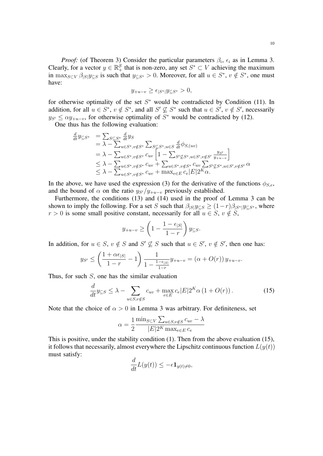*Proof:* (of Theorem 3) Consider the particular parameters  $\beta_i$ ,  $\epsilon_i$  as in Lemma 3. Clearly, for a vector  $y \in \mathbb{R}_+^S$  that is non-zero, any set  $S^* \subset V$  achieving the maximum in  $\max_{S \subset V} \beta_{|S|} y_{\subseteq S}$  is such that  $y_{\subseteq S^*} > 0$ . Moreover, for all  $u \in S^*$ ,  $v \notin S^*$ , one must have:

$$
y_{+u-v} \ge \epsilon_{|S^*|} y_{\subseteq S^*} > 0,
$$

for otherwise optimality of the set  $S^*$  would be contradicted by Condition (11). In addition, for all  $u \in S^*$ ,  $v \notin S^*$ , and all  $S' \nsubseteq S^*$  such that  $u \in S'$ ,  $v \notin S'$ , necessarily  $y_{S'} \leq \alpha y_{+u-v}$ , for otherwise optimality of  $S^*$  would be contradicted by (12).

One thus has the following evaluation:

$$
\frac{d}{dt} y_{\subseteq S^*} = \sum_{S \subseteq S^*} \frac{d}{dt} y_S
$$
\n
$$
= \lambda - \sum_{u \in S^*, v \notin S^*} \sum_{S \subseteq S^*, u \in S} \frac{d}{dt} \phi_{S,(uv)}
$$
\n
$$
= \lambda - \sum_{u \in S^*, v \notin S^*} c_{uv} \left[ 1 - \sum_{S' \subseteq S^*, u \in S', v \notin S'} \frac{y_{S'}}{y_{+u-v}} \right]
$$
\n
$$
\leq \lambda - \sum_{u \in S^*, v \notin S^*} c_{uv} + \sum_{u \in S^*, v \notin S^*} c_{uv} \sum_{S' \subseteq S^*, u \in S', v \notin S'} \alpha
$$
\n
$$
\leq \lambda - \sum_{u \in S^*, v \notin S^*} c_{uv} + \max_{e \in E} c_e |E| 2^K \alpha.
$$

In the above, we have used the expression (3) for the derivative of the functions  $\phi_{S,e}$ , and the bound of  $\alpha$  on the ratio  $y_{S}/y_{+u-v}$  previously established.

Furthermore, the conditions (13) and (14) used in the proof of Lemma 3 can be shown to imply the following. For a set S such that  $\beta_{|S|}y_{\subseteq S} \ge (1-r)\beta_{|S^*|}y_{\subseteq S^*}$ , where  $r > 0$  is some small positive constant, necessarily for all  $u \in S$ ,  $v \notin S$ ,

$$
y_{+u-v} \ge \left(1 - \frac{1 - \epsilon_{|S|}}{1 - r}\right) y_{\subseteq S}.
$$

In addition, for  $u \in S$ ,  $v \notin S$  and  $S' \not\subseteq S$  such that  $u \in S'$ ,  $v \notin S'$ , then one has:

$$
y_{S'} \le \left(\frac{1+\alpha\epsilon_{|S|}}{1-r} - 1\right) \frac{1}{1 - \frac{1-\epsilon_{|S|}}{1-r}} y_{+u-v} = (\alpha + O(r)) y_{+u-v}.
$$

Thus, for such  $S$ , one has the similar evaluation

$$
\frac{d}{dt}y_{\subseteq S} \le \lambda - \sum_{u \in S, v \notin S} c_{uv} + \max_{e \in E} c_e |E| 2^K \alpha \left( 1 + O(r) \right). \tag{15}
$$

Note that the choice of  $\alpha > 0$  in Lemma 3 was arbitrary. For definiteness, set

$$
\alpha = \frac{1}{2} \frac{\min_{S \subset V} \sum_{u \in S, v \notin S} c_{uv} - \lambda}{|E|2^K \max_{e \in E} c_e}
$$

This is positive, under the stability condition (1). Then from the above evaluation (15), it follows that necessarily, almost everywhere the Lipschitz continuous function  $L(y(t))$ must satisfy:

$$
\frac{d}{dt}L(y(t)) \le -\epsilon \mathbf{1}_{y(t)\neq 0},
$$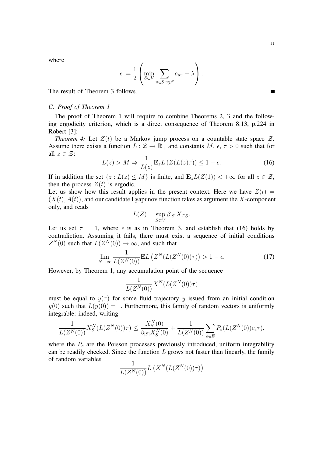$\blacksquare$ 

where

$$
\epsilon := \frac{1}{2} \left( \min_{S \subset V} \sum_{u \in S, v \notin S} c_{uv} - \lambda \right).
$$

The result of Theorem 3 follows.

## *C. Proof of Theorem 1*

The proof of Theorem 1 will require to combine Theorems 2, 3 and the following ergodicity criterion, which is a direct consequence of Theorem 8.13, p.224 in Robert [3]:

*Theorem 4:* Let  $Z(t)$  be a Markov jump process on a countable state space  $Z$ . Assume there exists a function  $L : \mathcal{Z} \to \mathbb{R}_+$  and constants  $M, \epsilon, \tau > 0$  such that for all  $z \in \mathcal{Z}$ :

$$
L(z) > M \Rightarrow \frac{1}{L(z)} \mathbf{E}_z L\left(Z(L(z)\tau)\right) \le 1 - \epsilon.
$$
 (16)

If in addition the set  $\{z : L(z) \leq M\}$  is finite, and  $\mathbf{E}_z L(Z(1)) < +\infty$  for all  $z \in \mathcal{Z}$ , then the process  $Z(t)$  is ergodic.

Let us show how this result applies in the present context. Here we have  $Z(t) =$  $(X(t), A(t))$ , and our candidate Lyapunov function takes as argument the X-component only, and reads

$$
L(Z) = \sup_{S \subset V} \beta_{|S|} X_{\subseteq S}.
$$

Let us set  $\tau = 1$ , where  $\epsilon$  is as in Theorem 3, and establish that (16) holds by contradiction. Assuming it fails, there must exist a sequence of initial conditions  $Z^N(0)$  such that  $L(Z^N(0)) \to \infty$ , and such that

$$
\lim_{N \to \infty} \frac{1}{L(Z^N(0))} \mathbf{E} L\left(Z^N(L(Z^N(0))\tau)\right) > 1 - \epsilon. \tag{17}
$$

However, by Theorem 1, any accumulation point of the sequence

$$
\frac{1}{L(Z^N(0))}X^N(L(Z^N(0))\tau)
$$

must be equal to  $y(\tau)$  for some fluid trajectory y issued from an initial condition  $y(0)$  such that  $L(y(0)) = 1$ . Furthermore, this family of random vectors is uniformly integrable: indeed, writing

$$
\frac{1}{L(Z^N(0))} X_S^N(L(Z^N(0))\tau) \le \frac{X_S^N(0)}{\beta_{|S|} X_S^N(0)} + \frac{1}{L(Z^N(0))} \sum_{e \in E} P_e(L(Z^N(0))c_e\tau),
$$

where the  $P_e$  are the Poisson processes previously introduced, uniform integrability can be readily checked. Since the function  $L$  grows not faster than linearly, the family of random variables <sup>1</sup>

$$
\frac{1}{L(Z^N(0))}L(X^N(L(Z^N(0))\tau))
$$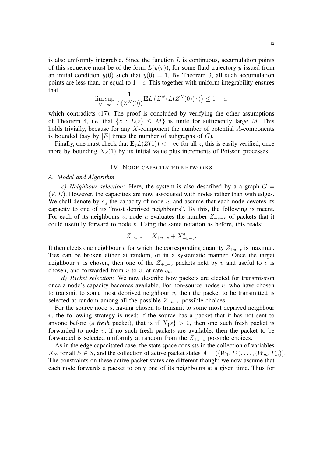is also uniformly integrable. Since the function  $L$  is continuous, accumulation points of this sequence must be of the form  $L(y(\tau))$ , for some fluid trajectory y issued from an initial condition  $y(0)$  such that  $y(0) = 1$ . By Theorem 3, all such accumulation points are less than, or equal to  $1-\epsilon$ . This together with uniform integrability ensures that

$$
\limsup_{N \to \infty} \frac{1}{L(Z^N(0))} \mathbf{E} L\left(Z^N(L(Z^N(0))\tau)\right) \le 1 - \epsilon,
$$

which contradicts (17). The proof is concluded by verifying the other assumptions of Theorem 4, i.e. that  $\{z : L(z) \leq M\}$  is finite for sufficiently large M. This holds trivially, because for any  $X$ -component the number of potential  $A$ -components is bounded (say by  $|E|$  times the number of subgraphs of  $G$ ).

Finally, one must check that  $\mathbf{E}_z L(Z(1)) < +\infty$  for all z; this is easily verified, once more by bounding  $X<sub>S</sub>(1)$  by its initial value plus increments of Poisson processes.

## IV. NODE-CAPACITATED NETWORKS

#### *A. Model and Algorithm*

*c)* Neighbour selection: Here, the system is also described by a a graph  $G =$  $(V, E)$ . However, the capacities are now associated with nodes rather than with edges. We shall denote by  $c_u$  the capacity of node u, and assume that each node devotes its capacity to one of its "most deprived neighbours". By this, the following is meant. For each of its neighbours v, node u evaluates the number  $Z_{+u-v}$  of packets that it could usefully forward to node  $v$ . Using the same notation as before, this reads:

$$
Z_{+u-v} = X_{+u-v} + X_{+u-v}^a.
$$

It then elects one neighbour v for which the corresponding quantity  $Z_{+u-v}$  is maximal. Ties can be broken either at random, or in a systematic manner. Once the target neighbour v is chosen, then one of the  $Z_{+u-v}$  packets held by u and useful to v is chosen, and forwarded from  $u$  to  $v$ , at rate  $c_u$ .

*d) Packet selection:* We now describe how packets are elected for transmission once a node's capacity becomes available. For non-source nodes  $u$ , who have chosen to transmit to some most deprived neighbour  $v$ , then the packet to be transmitted is selected at random among all the possible  $Z_{+u-v}$  possible choices.

For the source node s, having chosen to transmit to some most deprived neighbour  $v$ , the following strategy is used: if the source has a packet that it has not sent to anyone before (a *fresh* packet), that is if  $X_{\{S\}} > 0$ , then one such fresh packet is forwarded to node v; if no such fresh packets are available, then the packet to be forwarded is selected uniformly at random from the  $Z_{+s-v}$  possible choices.

As in the edge capacitated case, the state space consists in the collection of variables  $X_S$ , for all  $S \in \mathcal{S}$ , and the collection of active packet states  $A = ((W_1, F_1), \ldots, (W_m, F_m))$ . The constraints on these active packet states are different though: we now assume that each node forwards a packet to only one of its neighbours at a given time. Thus for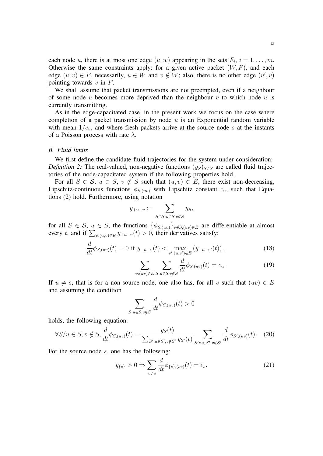each node u, there is at most one edge  $(u, w)$  appearing in the sets  $F_i$ ,  $i = 1, \ldots, m$ . Otherwise the same constraints apply: for a given active packet  $(W, F)$ , and each edge  $(u, v) \in F$ , necessarily,  $u \in W$  and  $v \notin W$ ; also, there is no other edge  $(u', v)$ pointing towards  $v$  in  $F$ .

We shall assume that packet transmissions are not preempted, even if a neighbour of some node u becomes more deprived than the neighbour  $v$  to which node  $u$  is currently transmitting.

As in the edge-capacitated case, in the present work we focus on the case where completion of a packet transmission by node  $u$  is an Exponential random variable with mean  $1/c<sub>u</sub>$ , and where fresh packets arrive at the source node s at the instants of a Poisson process with rate  $\lambda$ .

#### *B. Fluid limits*

We first define the candidate fluid trajectories for the system under consideration: *Definition 2:* The real-valued, non-negative functions  $(y_S)_{S \in S}$  are called fluid trajectories of the node-capacitated system if the following properties hold.

For all  $S \in \mathcal{S}$ ,  $u \in S$ ,  $v \notin S$  such that  $(u, v) \in E$ , there exist non-decreasing, Lipschitz-continuous functions  $\phi_{S,(uv)}$  with Lipschitz constant  $c_u$ , such that Equations (2) hold. Furthermore, using notation

$$
y_{+u-v} := \sum_{S \in \mathcal{S}: u \in S, v \notin S} y_S,
$$

for all  $S \in \mathcal{S}$ ,  $u \in S$ , the functions  $\{\phi_{S,(uv)}\}_{v \notin S,(uv) \in E}$  are differentiable at almost every t, and if  $\sum_{v:(u,v)\in E} y_{+u-v}(t) > 0$ , their derivatives satisfy:

$$
\frac{d}{dt}\phi_{S,(uv)}(t) = 0 \text{ if } y_{+u-v}(t) < \max_{v':(u,v') \in E} (y_{+u-v'}(t)), \tag{18}
$$

$$
\sum_{v:(uv)\in E} \sum_{S:u\in S,v\notin S} \frac{d}{dt} \phi_{S,(uv)}(t) = c_u.
$$
 (19)

If  $u \neq s$ , that is for a non-source node, one also has, for all v such that  $(uv) \in E$ and assuming the condition

$$
\sum_{S: u \in S, v \notin S} \frac{d}{dt} \phi_{S,(uv)}(t) > 0
$$

holds, the following equation:

$$
\forall S/u \in S, v \notin S, \frac{d}{dt} \phi_{S,(uv)}(t) = \frac{y_S(t)}{\sum_{S': u \in S', v \notin S'} y_{S'}(t)} \sum_{S': u \in S', v \notin S'} \frac{d}{dt} \phi_{S',(uv)}(t). \tag{20}
$$

For the source node s, one has the following:

$$
y_{\{s\}} > 0 \Rightarrow \sum_{v \neq s} \frac{d}{dt} \phi_{\{s\},(sv)}(t) = c_s.
$$
 (21)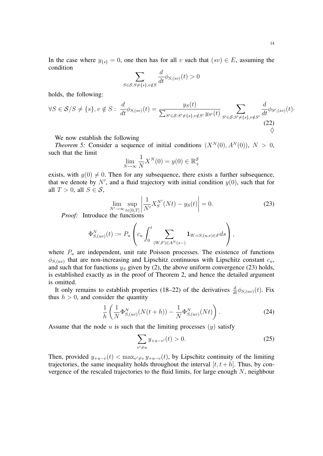$$
\sum_{S \in \mathcal{S}: S \neq \{s\}, v \notin S} \frac{d}{dt} \phi_{S,(sv)}(t) > 0
$$

holds, the following:

condition

$$
\forall S \in \mathcal{S}/S \neq \{s\}, v \notin S: \frac{d}{dt} \phi_{S,(sv)}(t) = \frac{y_S(t)}{\sum_{S' \in \mathcal{S}: S' \neq \{s\}, v \notin S'} y_{S'}(t)} \sum_{S' \in \mathcal{S}: S' \neq \{s\}, v \notin S'} \frac{d}{dt} \phi_{S',(sv)}(t) \cdot \phi_{S'}(s)
$$
\n
$$
(22)
$$

We now establish the following

*Theorem 5:* Consider a sequence of initial conditions  $(X^N(0), A^N(0)), N > 0$ , such that the limit

$$
\lim_{N \to \infty} \frac{1}{N} X^N(0) = y(0) \in \mathbb{R}_+^{\mathcal{S}}
$$

exists, with  $y(0) \neq 0$ . Then for any subsequence, there exists a further subsequence, that we denote by  $N'$ , and a fluid trajectory with initial condition  $y(0)$ , such that for all  $T > 0$ , all  $S \in \mathcal{S}$ ,

$$
\lim_{N' \to \infty} \sup_{t \in [0,T]} \left| \frac{1}{N'} X_S^{N'}(Nt) - y_S(t) \right| = 0.
$$
 (23)

*Proof:* Introduce the functions

$$
\Phi_{S,(uv)}^N(t) := P_u \left( c_u \int_0^t \sum_{(W,F) \in A^N(s-)} \mathbf{1}_{W=S,(u,v) \in F} ds \right),
$$

where  $P_u$  are independent, unit rate Poisson processes. The existence of functions  $\phi_{S,(uv)}$  that are non-increasing and Lipschitz continuous with Lipschitz constant  $c_u$ , and such that for functions  $y_S$  given by (2), the above uniform convergence (23) holds, is established exactly as in the proof of Theorem 2, and hence the detailed argument is omitted.

It only remains to establish properties (18–22) of the derivatives  $\frac{d}{dt}\phi_{S,(uv)}(t)$ . Fix thus  $h > 0$ , and consider the quantity

$$
\frac{1}{h}\left(\frac{1}{N}\Phi_{S,(uv)}^N(N(t+h))-\frac{1}{N}\Phi_{S,(uv)}^N(Nt)\right).
$$
\n(24)

Assume that the node  $u$  is such that the limiting processes  $(y)$  satisfy

$$
\sum_{v' \neq u} y_{+u-v'}(t) > 0.
$$
\n(25)

Then, provided  $y_{+u-v}(t) < \max_{v' \neq v} y_{+u-v}(t)$ , by Lipschitz continuity of the limiting trajectories, the same inequality holds throughout the interval  $[t, t + h]$ . Thus, by convergence of the rescaled trajectories to the fluid limits, for large enough N, neighbour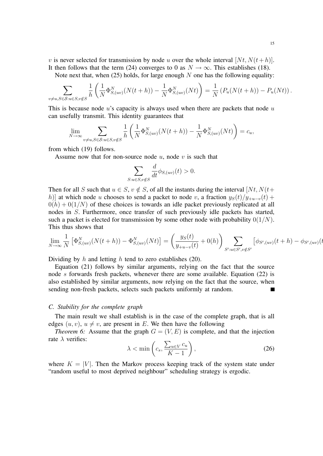v is never selected for transmission by node u over the whole interval  $[Nt, N(t+h)]$ . It then follows that the term (24) converges to 0 as  $N \to \infty$ . This establishes (18).

Note next that, when (25) holds, for large enough  $N$  one has the following equality:

$$
\sum_{v \neq u, S \in \mathcal{S}: u \in S, v \notin S} \frac{1}{h} \left( \frac{1}{N} \Phi_{S,(uv)}^N(N(t+h)) - \frac{1}{N} \Phi_{S,(uv)}^N(Nt) \right) = \frac{1}{N} \left( P_u(N(t+h)) - P_u(Nt) \right).
$$

This is because node  $u$ 's capacity is always used when there are packets that node  $u$ can usefully transmit. This identity guarantees that

$$
\lim_{N \to \infty} \sum_{v \neq u, S \in \mathcal{S}: u \in S, v \notin S} \frac{1}{h} \left( \frac{1}{N} \Phi_{S,(uv)}^N(N(t+h)) - \frac{1}{N} \Phi_{S,(uv)}^N(Nt) \right) = c_u,
$$

from which (19) follows.

Assume now that for non-source node  $u$ , node  $v$  is such that

$$
\sum_{S: u \in S, v \notin S} \frac{d}{dt} \phi_{S,(uv)}(t) > 0.
$$

Then for all S such that  $u \in S$ ,  $v \notin S$ , of all the instants during the interval  $[Nt, N(t+$ h)] at which node u chooses to send a packet to node v, a fraction  $y_S(t)/y_{+u-v}(t)$  +  $0(h) + 0(1/N)$  of these choices is towards an idle packet previously replicated at all nodes in S. Furthermore, once transfer of such previously idle packets has started, such a packet is elected for transmission by some other node with probability  $0(1/N)$ . This thus shows that

$$
\lim_{N \to \infty} \frac{1}{N} \left[ \Phi_{S,(uv)}^N(N(t+h)) - \Phi_{S,(uv)}^N(Nt) \right] = \left( \frac{y_S(t)}{y_{+u-v}(t)} + 0(h) \right) \sum_{S': u \in S', v \notin S'} \left[ \phi_{S',(uv)}(t+h) - \phi_{S',(uv)}(t) \right]
$$

Dividing by  $h$  and letting  $h$  tend to zero establishes (20).

Equation (21) follows by similar arguments, relying on the fact that the source node s forwards fresh packets, whenever there are some available. Equation (22) is also established by similar arguments, now relying on the fact that the source, when sending non-fresh packets, selects such packets uniformly at random.  $\blacksquare$ 

## *C. Stability for the complete graph*

The main result we shall establish is in the case of the complete graph, that is all edges  $(u, v)$ ,  $u \neq v$ , are present in E. We then have the following

*Theorem 6:* Assume that the graph  $G = (V, E)$  is complete, and that the injection rate  $\lambda$  verifies:

$$
\lambda < \min\left(c_s, \frac{\sum_{u \in V} c_u}{K - 1}\right),\tag{26}
$$

where  $K = |V|$ . Then the Markov process keeping track of the system state under "random useful to most deprived neighbour" scheduling strategy is ergodic.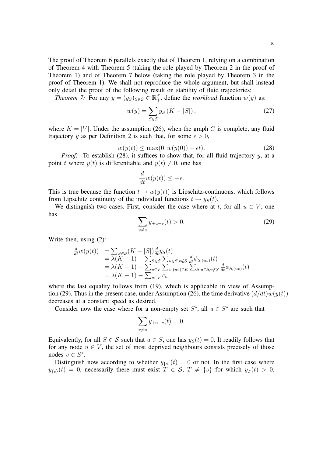The proof of Theorem 6 parallels exactly that of Theorem 1, relying on a combination of Theorem 4 with Theorem 5 (taking the role played by Theorem 2 in the proof of Theorem 1) and of Theorem 7 below (taking the role played by Theorem 3 in the proof of Theorem 1). We shall not reproduce the whole argument, but shall instead only detail the proof of the following result on stability of fluid trajectories:

*Theorem 7:* For any  $y = (y_S)_{S \in \mathcal{S}} \in \mathbb{R}^{\mathcal{S}}_+$ , define the *workload* function  $w(y)$  as:

$$
w(y) = \sum_{S \in \mathcal{S}} y_S \left( K - |S| \right),\tag{27}
$$

where  $K = |V|$ . Under the assumption (26), when the graph G is complete, any fluid trajectory y as per Definition 2 is such that, for some  $\epsilon > 0$ ,

$$
w(y(t)) \le \max(0, w(y(0)) - \epsilon t). \tag{28}
$$

*Proof:* To establish (28), it suffices to show that, for all fluid trajectory y, at a point t where  $y(t)$  is differentiable and  $y(t) \neq 0$ , one has

$$
\frac{d}{dt}w(y(t)) \le -\epsilon.
$$

This is true because the function  $t \to w(y(t))$  is Lipschitz-continuous, which follows from Lipschitz continuity of the individual functions  $t \rightarrow y_s(t)$ .

We distinguish two cases. First, consider the case where at t, for all  $u \in V$ , one has

$$
\sum_{v \neq u} y_{+u-v}(t) > 0.
$$
\n(29)

Write then, using (2):

$$
\frac{d}{dt}w(y(t)) = \sum_{S \in \mathcal{S}} (K - |S|) \frac{d}{dt} y_S(t)
$$
  
\n
$$
= \lambda (K - 1) - \sum_{S \in \mathcal{S}} \sum_{u \in S, v \notin S} \frac{d}{dt} \phi_{S,(uv)}(t)
$$
  
\n
$$
= \lambda (K - 1) - \sum_{u \in V} \sum_{v:(uv) \in E} \sum_{S: u \in S, v \notin S} \frac{d}{dt} \phi_{S,(uv)}(t)
$$
  
\n
$$
= \lambda (K - 1) - \sum_{u \in V} c_u,
$$

where the last equality follows from (19), which is applicable in view of Assumption (29). Thus in the present case, under Assumption (26), the time derivative  $(d/dt)w(y(t))$ decreases at a constant speed as desired.

Consider now the case where for a non-empty set  $S^*$ , all  $u \in S^*$  are such that

$$
\sum_{v \neq u} y_{+u-v}(t) = 0.
$$

Equivalently, for all  $S \in \mathcal{S}$  such that  $u \in S$ , one has  $y_S(t) = 0$ . It readily follows that for any node  $u \in V$ , the set of most deprived neighbours consists precisely of those nodes  $v \in S^*$ .

Distinguish now according to whether  $y_{\{s\}}(t) = 0$  or not. In the first case where  $y_{\{s\}}(t) = 0$ , necessarily there must exist  $T \in S$ ,  $T \neq \{s\}$  for which  $y_T(t) > 0$ ,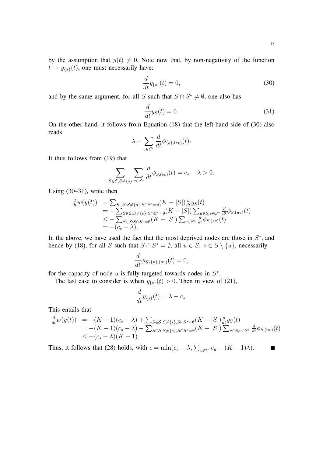$\mathbf{r}$ 

by the assumption that  $y(t) \neq 0$ . Note now that, by non-negativity of the function  $t \rightarrow y_{\{s\}}(t)$ , one must necessarily have:

$$
\frac{d}{dt}y_{\{s\}}(t) = 0,\t\t(30)
$$

and by the same argument, for all S such that  $S \cap S^* \neq \emptyset$ , one also has

$$
\frac{d}{dt}y_S(t) = 0.\t\t(31)
$$

On the other hand, it follows from Equation (18) that the left-hand side of (30) also reads

$$
\lambda - \sum_{v \in S^*} \frac{d}{dt} \phi_{\{s\},(sv)}(t) \cdot
$$

It thus follows from (19) that

$$
\sum_{S \in \mathcal{S}, S \neq \{s\}} \sum_{v \in S^*} \frac{d}{dt} \phi_{S,(sv)}(t) = c_s - \lambda > 0.
$$

Using (30–31), write then

$$
\frac{d}{dt}w(y(t)) = \sum_{S \in \mathcal{S}: S \neq \{s\}, S \cap S^* = \emptyset} (K - |S|) \frac{d}{dt} y_S(t) \n= -\sum_{S \in \mathcal{S}: S \neq \{s\}, S \cap S^* = \emptyset} (K - |S|) \sum_{u \in S, v \in S^*} \frac{d}{dt} \phi_{S,(uv)}(t) \n\leq -\sum_{S \in \mathcal{S}: S \cap S^* = \emptyset} (K - |S|) \sum_{v \in S^*} \frac{d}{dt} \phi_{S,(sv)}(t) \n= -(c_s - \lambda).
$$

In the above, we have used the fact that the most deprived nodes are those in  $S^*$ , and hence by (18), for all S such that  $S \cap S^* = \emptyset$ , all  $u \in S$ ,  $v \in S \setminus \{u\}$ , necessarily

$$
\frac{d}{dt}\phi_{S\setminus\{v\},(uv)}(t)=0,
$$

for the capacity of node  $u$  is fully targeted towards nodes in  $S^*$ .

The last case to consider is when  $y_{\{s\}}(t) > 0$ . Then in view of (21),

$$
\frac{d}{dt}y_{\{s\}}(t) = \lambda - c_s.
$$

This entails that

$$
\frac{d}{dt}w(y(t)) = -(K-1)(c_s - \lambda) + \sum_{S \in \mathcal{S}: S \neq \{s\}, S \cap S^* = \emptyset} (K - |S|) \frac{d}{dt} y_S(t)
$$
  
= -(K-1)(c\_s - \lambda) - \sum\_{S \in \mathcal{S}: S \neq \{s\}, S \cap S^\* = \emptyset} (K - |S|) \sum\_{u \in S, v \in S^\*} \frac{d}{dt} \phi\_{S,(uv)}(t)  

$$
\leq -(c_s - \lambda)(K - 1).
$$

Thus, it follows that (28) holds, with  $\epsilon = \min(c_s - \lambda, \sum_{u \in V} c_u - (K - 1)\lambda)$ .